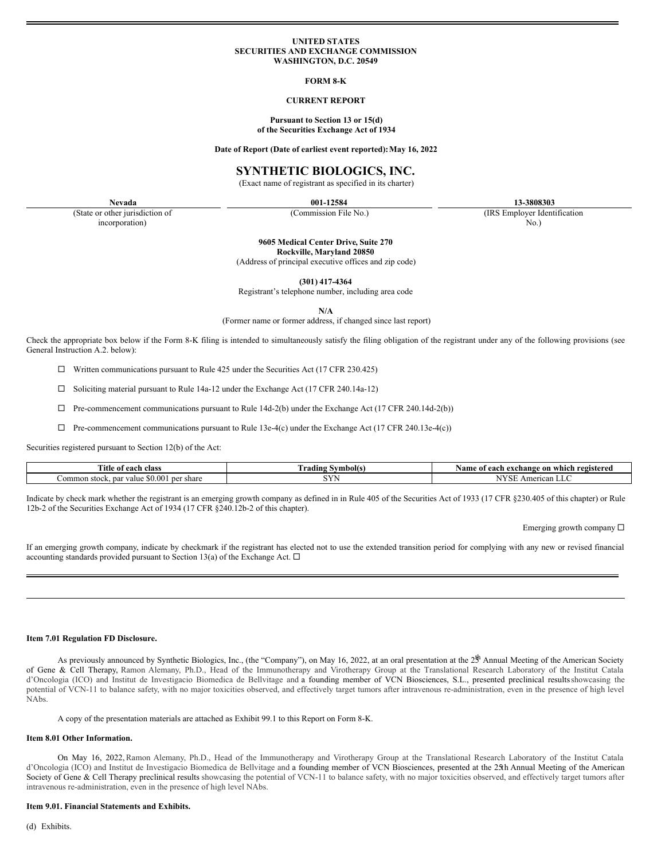#### **UNITED STATES SECURITIES AND EXCHANGE COMMISSION WASHINGTON, D.C. 20549**

#### **FORM 8-K**

#### **CURRENT REPORT**

#### **Pursuant to Section 13 or 15(d) of the Securities Exchange Act of 1934**

**Date of Report (Date of earliest event reported):May 16, 2022**

#### **SYNTHETIC BIOLOGICS, INC.**

(Exact name of registrant as specified in its charter)

(State or other jurisdiction of incorporation)

**Nevada 001-12584 13-3808303**

(Commission File No.) (IRS Employer Identification No.)

**9605 Medical Center Drive, Suite 270**

**Rockville, Maryland 20850**

(Address of principal executive offices and zip code)

**(301) 417-4364**

Registrant's telephone number, including area code

**N/A**

(Former name or former address, if changed since last report)

Check the appropriate box below if the Form 8-K filing is intended to simultaneously satisfy the filing obligation of the registrant under any of the following provisions (see General Instruction A.2. below):

 $\Box$  Written communications pursuant to Rule 425 under the Securities Act (17 CFR 230.425)

 $\Box$  Soliciting material pursuant to Rule 14a-12 under the Exchange Act (17 CFR 240.14a-12)

 $\Box$  Pre-commencement communications pursuant to Rule 14d-2(b) under the Exchange Act (17 CFR 240.14d-2(b))

 $\Box$  Pre-commencement communications pursuant to Rule 13e-4(c) under the Exchange Act (17 CFR 240.13e-4(c))

Securities registered pursuant to Section 12(b) of the Act:

| <b>Title</b><br>class<br>each<br>∸ot                        | ! Symbol(s)<br>radıng | registered<br>Name<br>t each exchange<br>: on<br>which |
|-------------------------------------------------------------|-----------------------|--------------------------------------------------------|
| \$0.00<br>. ner<br>∕alue<br>share<br>Common stock.<br>par : | $- - -$               | American LLC<br>LOT                                    |

Indicate by check mark whether the registrant is an emerging growth company as defined in in Rule 405 of the Securities Act of 1933 (17 CFR §230.405 of this chapter) or Rule 12b-2 of the Securities Exchange Act of 1934 (17 CFR §240.12b-2 of this chapter).

Emerging growth company  $\Box$ 

If an emerging growth company, indicate by checkmark if the registrant has elected not to use the extended transition period for complying with any new or revised financial accounting standards provided pursuant to Section 13(a) of the Exchange Act.  $\Box$ 

#### **Item 7.01 Regulation FD Disclosure.**

As previously announced by Synthetic Biologics, Inc., (the "Company"), on May 16, 2022, at an oral presentation at the  $2^{\frac{th}{3}}$  Annual Meeting of the American Society of Gene & Cell Therapy, Ramon Alemany, Ph.D., Head of the Immunotherapy and Virotherapy Group at the Translational Research Laboratory of the Institut Catala d'Oncologia (ICO) and Institut de Investigacio Biomedica de Bellvitage and a founding member of VCN Biosciences, S.L., presented preclinical results showcasing the potential of VCN-11 to balance safety, with no major toxicities observed, and effectively target tumors after intravenous re-administration, even in the presence of high level NAbs.

A copy of the presentation materials are attached as Exhibit 99.1 to this Report on Form 8-K.

#### **Item 8.01 Other Information.**

On May 16, 2022,Ramon Alemany, Ph.D., Head of the Immunotherapy and Virotherapy Group at the Translational Research Laboratory of the Institut Catala d'Oncologia (ICO) and Institut de Investigacio Biomedica de Bellvitage and a founding member of VCN Biosciences, presented at the 25th Annual Meeting of the American Society of Gene & Cell Therapy preclinical results showcasing the potential of VCN-11 to balance safety, with no major toxicities observed, and effectively target tumors after intravenous re-administration, even in the presence of high level NAbs.

#### **Item 9.01. Financial Statements and Exhibits.**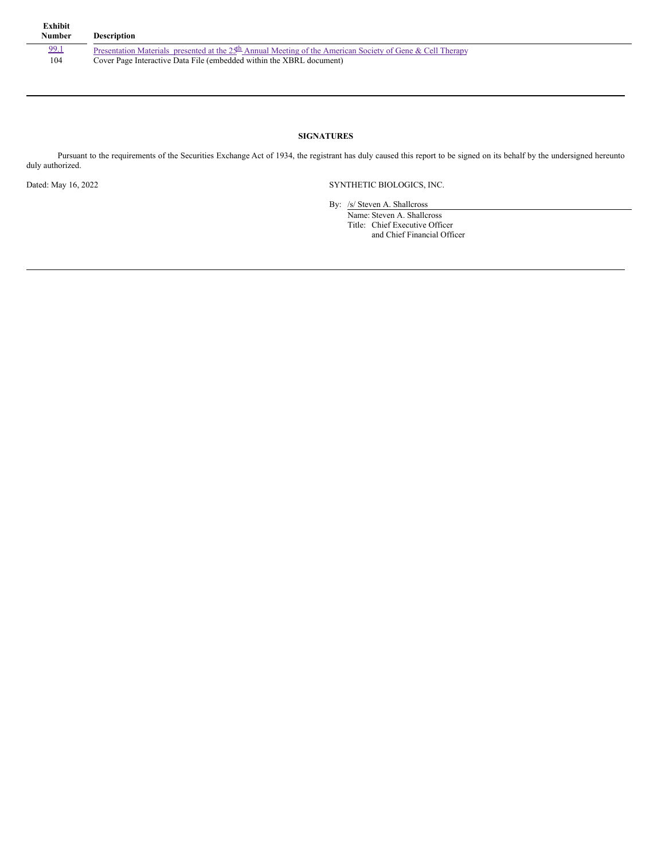| Exhibit<br><b>Number</b> | <b>Description</b>                                                                                                         |
|--------------------------|----------------------------------------------------------------------------------------------------------------------------|
| 99.1                     | Presentation Materials presented at the $25^{\underline{h}}$ Annual Meeting of the American Society of Gene & Cell Therapy |
| 104                      | Cover Page Interactive Data File (embedded within the XBRL document)                                                       |

#### **SIGNATURES**

Pursuant to the requirements of the Securities Exchange Act of 1934, the registrant has duly caused this report to be signed on its behalf by the undersigned hereunto duly authorized.

Dated: May 16, 2022 SYNTHETIC BIOLOGICS, INC.

By: /s/ Steven A. Shallcross Name: Steven A. Shallcross Title: Chief Executive Officer and Chief Financial Officer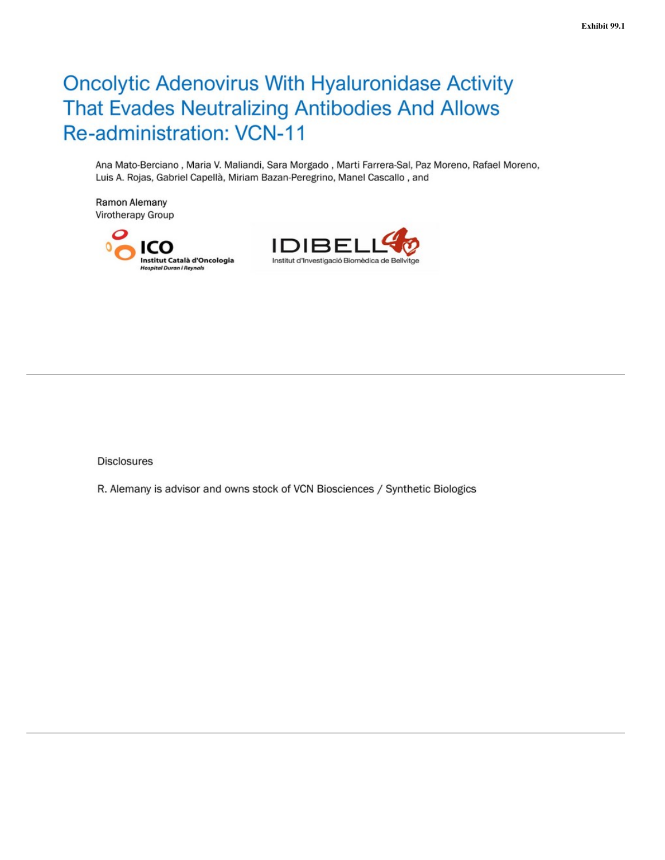# **Oncolytic Adenovirus With Hyaluronidase Activity** That Evades Neutralizing Antibodies And Allows **Re-administration: VCN-11**

Ana Mato-Berciano, Maria V. Maliandi, Sara Morgado, Marti Farrera-Sal, Paz Moreno, Rafael Moreno, Luis A. Rojas, Gabriel Capellà, Miriam Bazan-Peregrino, Manel Cascallo, and

Ramon Alemany Virotherapy Group





**Disclosures** 

R. Alemany is advisor and owns stock of VCN Biosciences / Synthetic Biologics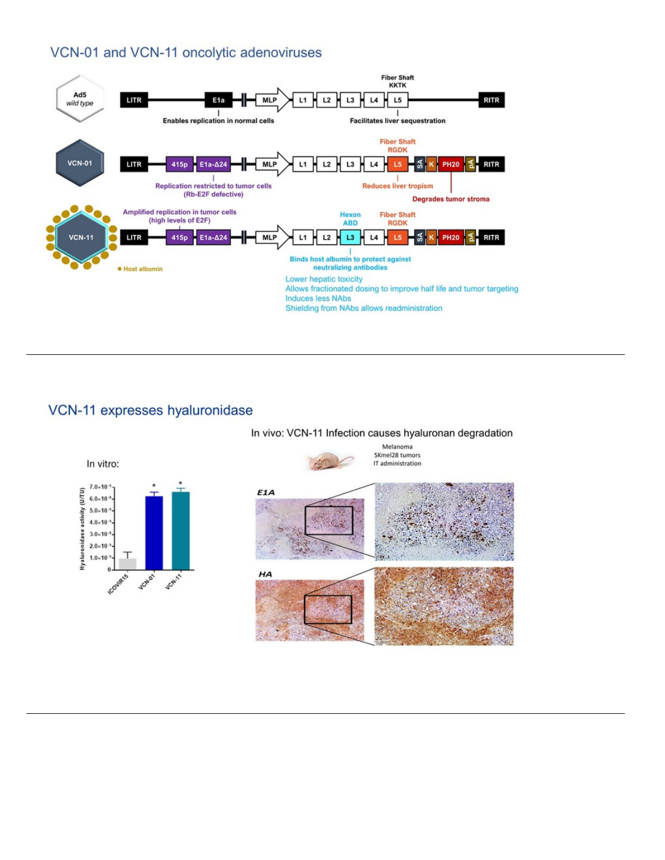### VCN-01 and VCN-11 oncolytic adenoviruses



### VCN-11 expresses hyaluronidase

In vivo: VCN-11 Infection causes hyaluronan degradation

Melanoma SKmel28 tumors



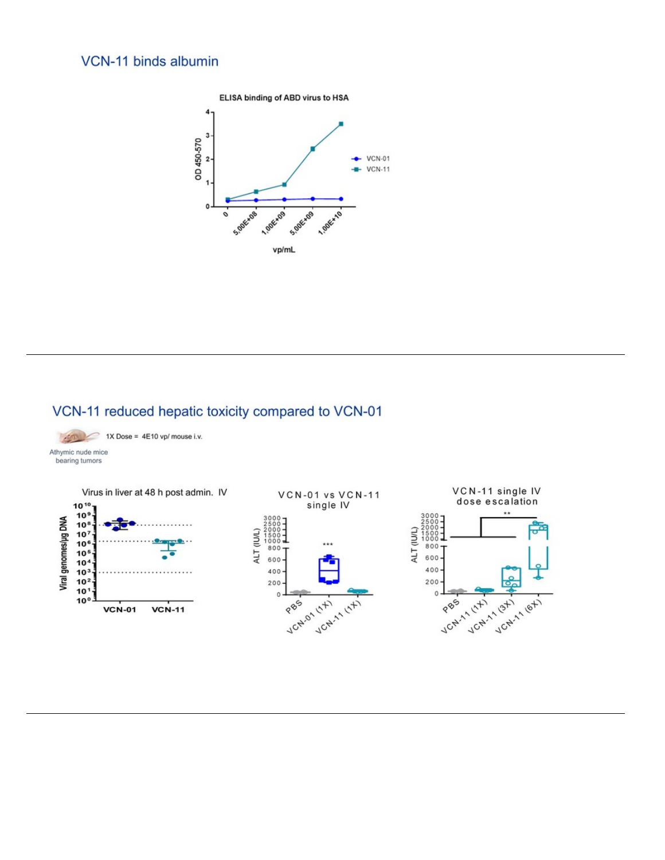### VCN-11 binds albumin



## VCN-11 reduced hepatic toxicity compared to VCN-01

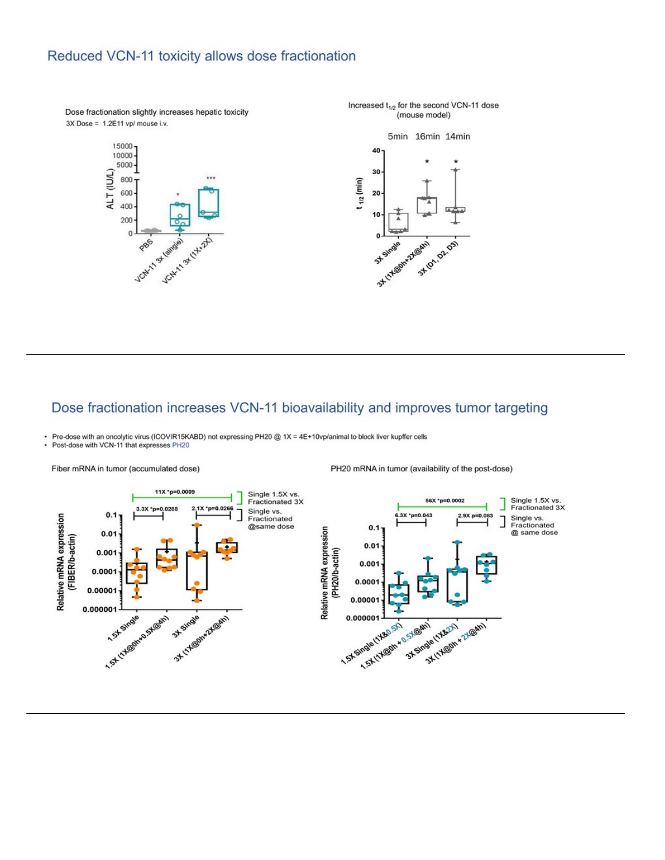### Reduced VCN-11 toxicity allows dose fractionation



#### Dose fractionation increases VCN-11 bioavailability and improves tumor targeting

Pre-dose with an oncolytic virus (ICOVIR15KABD) not expressing PH20 @ 1X = 4E+10vp/animal to block liver kupffer cells

Post-dose with VCN-11 that expresses PH20



PH20 mRNA in tumor (availability of the post-dose)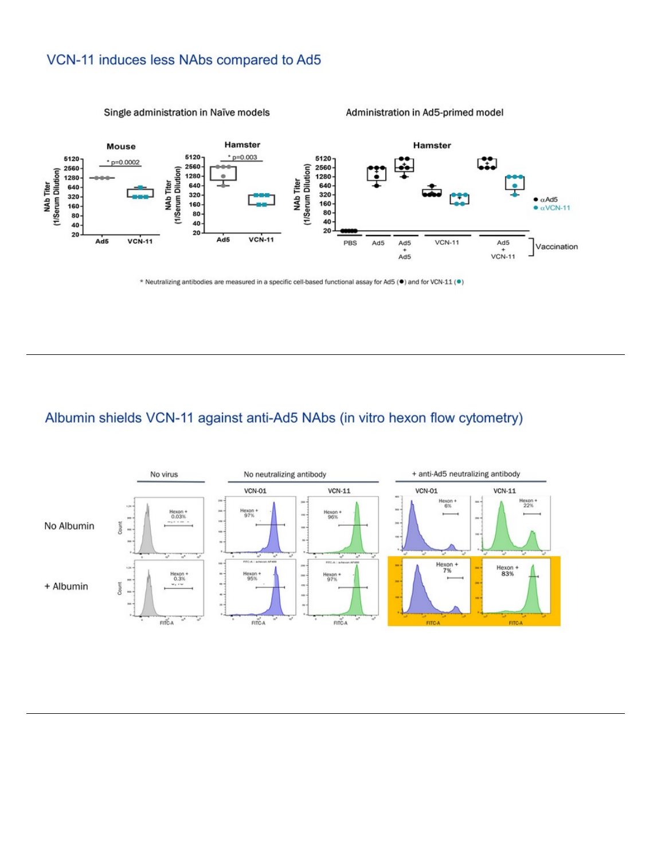### <span id="page-6-0"></span>VCN-11 induces less NAbs compared to Ad5



\* Neutralizing antibodies are measured in a specific cell-based functional assay for Ad5 (.) and for VCN-11 (.)

### Albumin shields VCN-11 against anti-Ad5 NAbs (in vitro hexon flow cytometry)

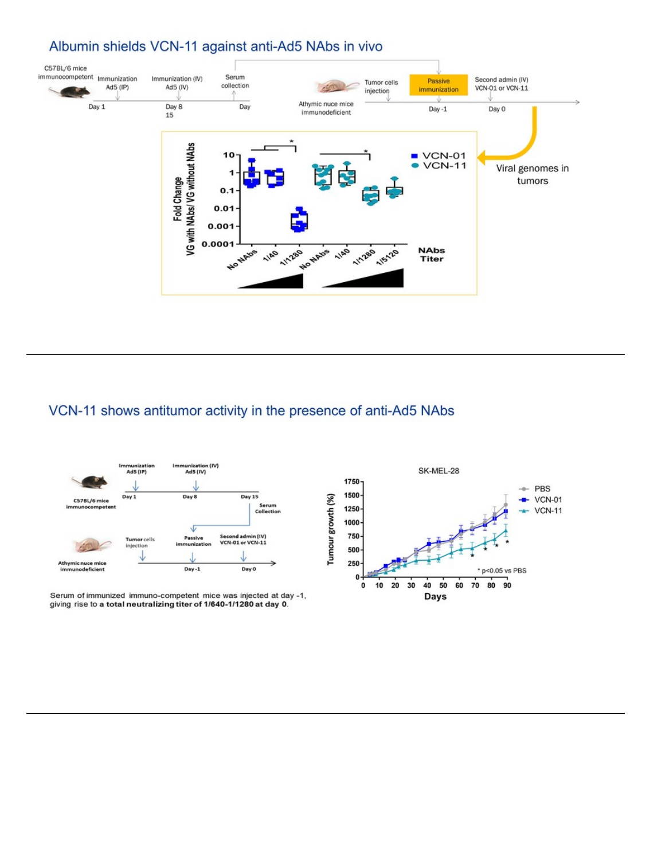### Albumin shields VCN-11 against anti-Ad5 NAbs in vivo



# VCN-11 shows antitumor activity in the presence of anti-Ad5 NAbs



Serum of immunized immuno-competent mice was injected at day -1, giving rise to a total neutralizing titer of 1/640-1/1280 at day 0.

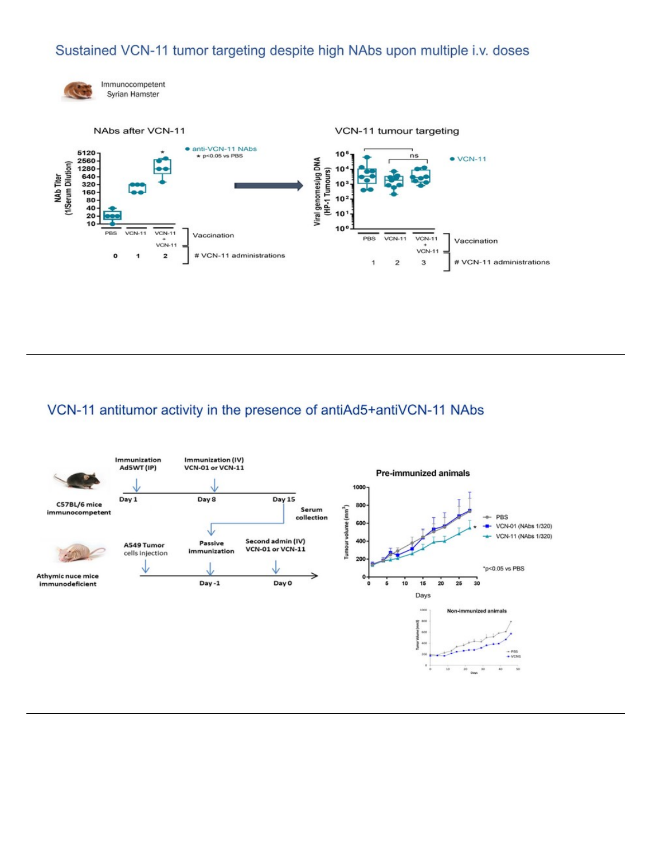## Sustained VCN-11 tumor targeting despite high NAbs upon multiple i.v. doses



Immunocompetent Syrian Hamster



# VCN-11 antitumor activity in the presence of antiAd5+antiVCN-11 NAbs

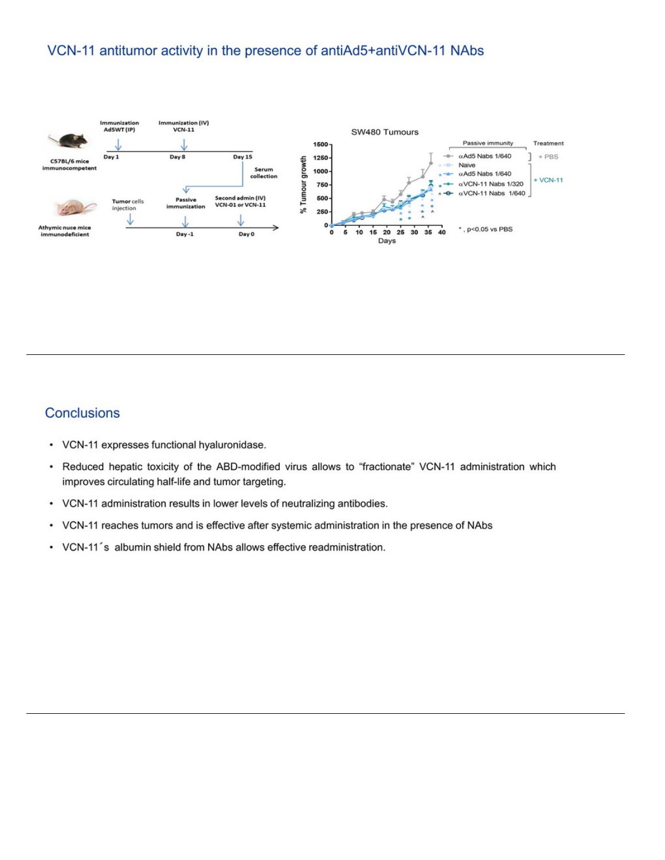### VCN-11 antitumor activity in the presence of antiAd5+antiVCN-11 NAbs



### **Conclusions**

- VCN-11 expresses functional hyaluronidase.
- Reduced hepatic toxicity of the ABD-modified virus allows to "fractionate" VCN-11 administration which  $\bullet$ improves circulating half-life and tumor targeting.
- VCN-11 administration results in lower levels of neutralizing antibodies. .
- VCN-11 reaches tumors and is effective after systemic administration in the presence of NAbs
- VCN-11's albumin shield from NAbs allows effective readministration.